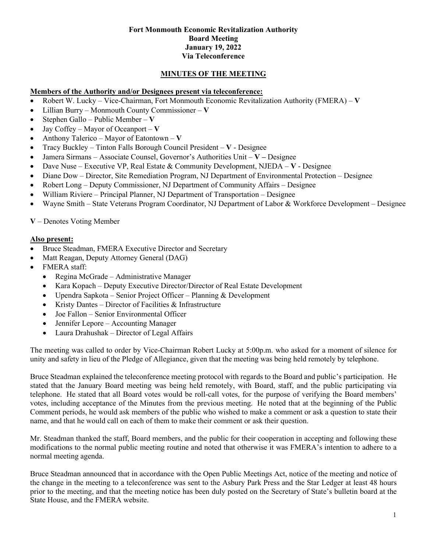#### **Fort Monmouth Economic Revitalization Authority Board Meeting January 19, 2022 Via Teleconference**

# **MINUTES OF THE MEETING**

### **Members of the Authority and/or Designees present via teleconference:**

- Robert W. Lucky Vice-Chairman, Fort Monmouth Economic Revitalization Authority (FMERA) **V**
- Lillian Burry Monmouth County Commissioner **V**
- Stephen Gallo Public Member **V**
- Jay Coffey Mayor of Oceanport **V**
- Anthony Talerico Mayor of Eatontown **V**
- Tracy Buckley Tinton Falls Borough Council President **V** Designee
- Jamera Sirmans Associate Counsel, Governor's Authorities Unit **V –** Designee
- Dave Nuse Executive VP, Real Estate & Community Development, NJEDA **V** Designee
- Diane Dow Director, Site Remediation Program, NJ Department of Environmental Protection Designee
- Robert Long Deputy Commissioner, NJ Department of Community Affairs Designee
- William Riviere Principal Planner, NJ Department of Transportation Designee
- Wayne Smith State Veterans Program Coordinator, NJ Department of Labor & Workforce Development Designee

**V** – Denotes Voting Member

### **Also present:**

- Bruce Steadman, FMERA Executive Director and Secretary
- Matt Reagan, Deputy Attorney General (DAG)
- FMERA staff:
	- Regina McGrade Administrative Manager
	- Kara Kopach Deputy Executive Director/Director of Real Estate Development
	- Upendra Sapkota Senior Project Officer Planning & Development
	- Kristy Dantes Director of Facilities & Infrastructure
	- Joe Fallon Senior Environmental Officer
	- Jennifer Lepore Accounting Manager
	- Laura Drahushak Director of Legal Affairs

The meeting was called to order by Vice-Chairman Robert Lucky at 5:00p.m. who asked for a moment of silence for unity and safety in lieu of the Pledge of Allegiance, given that the meeting was being held remotely by telephone.

Bruce Steadman explained the teleconference meeting protocol with regards to the Board and public's participation. He stated that the January Board meeting was being held remotely, with Board, staff, and the public participating via telephone. He stated that all Board votes would be roll-call votes, for the purpose of verifying the Board members' votes, including acceptance of the Minutes from the previous meeting. He noted that at the beginning of the Public Comment periods, he would ask members of the public who wished to make a comment or ask a question to state their name, and that he would call on each of them to make their comment or ask their question.

Mr. Steadman thanked the staff, Board members, and the public for their cooperation in accepting and following these modifications to the normal public meeting routine and noted that otherwise it was FMERA's intention to adhere to a normal meeting agenda.

Bruce Steadman announced that in accordance with the Open Public Meetings Act, notice of the meeting and notice of the change in the meeting to a teleconference was sent to the Asbury Park Press and the Star Ledger at least 48 hours prior to the meeting, and that the meeting notice has been duly posted on the Secretary of State's bulletin board at the State House, and the FMERA website.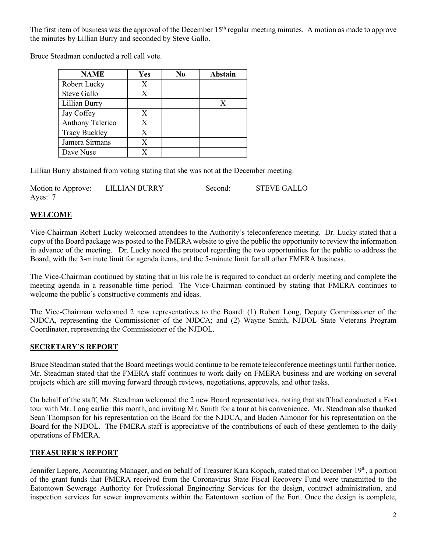The first item of business was the approval of the December 15<sup>th</sup> regular meeting minutes. A motion as made to approve the minutes by Lillian Burry and seconded by Steve Gallo.

Bruce Steadman conducted a roll call vote.

| <b>NAME</b>          | Yes | No | <b>Abstain</b> |
|----------------------|-----|----|----------------|
| Robert Lucky         | X   |    |                |
| Steve Gallo          | X   |    |                |
| Lillian Burry        |     |    | X              |
| Jay Coffey           | X   |    |                |
| Anthony Talerico     | X   |    |                |
| <b>Tracy Buckley</b> | X   |    |                |
| Jamera Sirmans       | X   |    |                |
| Dave Nuse            | X   |    |                |

Lillian Burry abstained from voting stating that she was not at the December meeting.

| Motion to Approve: | LILLIAN BURRY | Second: | <b>STEVE GALLO</b> |
|--------------------|---------------|---------|--------------------|
| Ayes: 7            |               |         |                    |

# **WELCOME**

Vice-Chairman Robert Lucky welcomed attendees to the Authority's teleconference meeting. Dr. Lucky stated that a copy of the Board package was posted to the FMERA website to give the public the opportunity to review the information in advance of the meeting. Dr. Lucky noted the protocol regarding the two opportunities for the public to address the Board, with the 3-minute limit for agenda items, and the 5-minute limit for all other FMERA business.

The Vice-Chairman continued by stating that in his role he is required to conduct an orderly meeting and complete the meeting agenda in a reasonable time period. The Vice-Chairman continued by stating that FMERA continues to welcome the public's constructive comments and ideas.

The Vice-Chairman welcomed 2 new representatives to the Board: (1) Robert Long, Deputy Commissioner of the NJDCA, representing the Commissioner of the NJDCA; and (2) Wayne Smith, NJDOL State Veterans Program Coordinator, representing the Commissioner of the NJDOL.

## **SECRETARY'S REPORT**

Bruce Steadman stated that the Board meetings would continue to be remote teleconference meetings until further notice. Mr. Steadman stated that the FMERA staff continues to work daily on FMERA business and are working on several projects which are still moving forward through reviews, negotiations, approvals, and other tasks.

On behalf of the staff, Mr. Steadman welcomed the 2 new Board representatives, noting that staff had conducted a Fort tour with Mr. Long earlier this month, and inviting Mr. Smith for a tour at his convenience. Mr. Steadman also thanked Sean Thompson for his representation on the Board for the NJDCA, and Baden Almonor for his representation on the Board for the NJDOL. The FMERA staff is appreciative of the contributions of each of these gentlemen to the daily operations of FMERA.

### **TREASURER'S REPORT**

Jennifer Lepore, Accounting Manager, and on behalf of Treasurer Kara Kopach, stated that on December 19<sup>th</sup>, a portion of the grant funds that FMERA received from the Coronavirus State Fiscal Recovery Fund were transmitted to the Eatontown Sewerage Authority for Professional Engineering Services for the design, contract administration, and inspection services for sewer improvements within the Eatontown section of the Fort. Once the design is complete,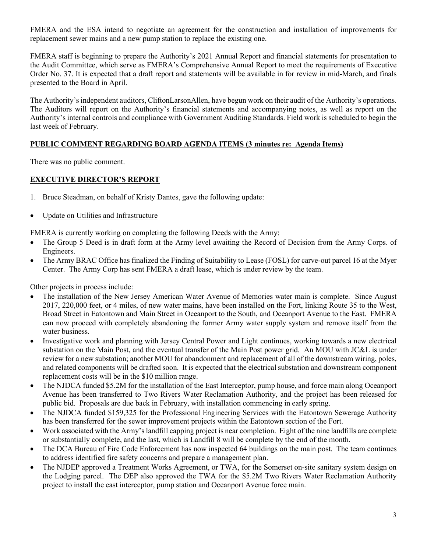FMERA and the ESA intend to negotiate an agreement for the construction and installation of improvements for replacement sewer mains and a new pump station to replace the existing one.

FMERA staff is beginning to prepare the Authority's 2021 Annual Report and financial statements for presentation to the Audit Committee, which serve as FMERA's Comprehensive Annual Report to meet the requirements of Executive Order No. 37. It is expected that a draft report and statements will be available in for review in mid-March, and finals presented to the Board in April.

The Authority's independent auditors, CliftonLarsonAllen, have begun work on their audit of the Authority's operations. The Auditors will report on the Authority's financial statements and accompanying notes, as well as report on the Authority's internal controls and compliance with Government Auditing Standards. Field work is scheduled to begin the last week of February.

## **PUBLIC COMMENT REGARDING BOARD AGENDA ITEMS (3 minutes re: Agenda Items)**

There was no public comment.

### **EXECUTIVE DIRECTOR'S REPORT**

- 1. Bruce Steadman, on behalf of Kristy Dantes, gave the following update:
- Update on Utilities and Infrastructure

FMERA is currently working on completing the following Deeds with the Army:

- The Group 5 Deed is in draft form at the Army level awaiting the Record of Decision from the Army Corps. of Engineers.
- The Army BRAC Office has finalized the Finding of Suitability to Lease (FOSL) for carve-out parcel 16 at the Myer Center. The Army Corp has sent FMERA a draft lease, which is under review by the team.

Other projects in process include:

- The installation of the New Jersey American Water Avenue of Memories water main is complete. Since August 2017, 220,000 feet, or 4 miles, of new water mains, have been installed on the Fort, linking Route 35 to the West, Broad Street in Eatontown and Main Street in Oceanport to the South, and Oceanport Avenue to the East. FMERA can now proceed with completely abandoning the former Army water supply system and remove itself from the water business.
- Investigative work and planning with Jersey Central Power and Light continues, working towards a new electrical substation on the Main Post, and the eventual transfer of the Main Post power grid. An MOU with JC&L is under review for a new substation; another MOU for abandonment and replacement of all of the downstream wiring, poles, and related components will be drafted soon. It is expected that the electrical substation and downstream component replacement costs will be in the \$10 million range.
- The NJDCA funded \$5.2M for the installation of the East Interceptor, pump house, and force main along Oceanport Avenue has been transferred to Two Rivers Water Reclamation Authority, and the project has been released for public bid. Proposals are due back in February, with installation commencing in early spring.
- The NJDCA funded \$159,325 for the Professional Engineering Services with the Eatontown Sewerage Authority has been transferred for the sewer improvement projects within the Eatontown section of the Fort.
- Work associated with the Army's landfill capping project is near completion. Eight of the nine landfills are complete or substantially complete, and the last, which is Landfill 8 will be complete by the end of the month.
- The DCA Bureau of Fire Code Enforcement has now inspected 64 buildings on the main post. The team continues to address identified fire safety concerns and prepare a management plan.
- The NJDEP approved a Treatment Works Agreement, or TWA, for the Somerset on-site sanitary system design on the Lodging parcel. The DEP also approved the TWA for the \$5.2M Two Rivers Water Reclamation Authority project to install the east interceptor, pump station and Oceanport Avenue force main.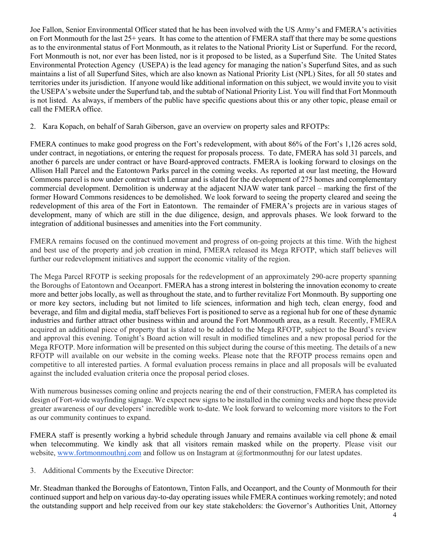Joe Fallon, Senior Environmental Officer stated that he has been involved with the US Army's and FMERA's activities on Fort Monmouth for the last 25+ years. It has come to the attention of FMERA staff that there may be some questions as to the environmental status of Fort Monmouth, as it relates to the National Priority List or Superfund. For the record, Fort Monmouth is not, nor ever has been listed, nor is it proposed to be listed, as a Superfund Site. The United States Environmental Protection Agency (USEPA) is the lead agency for managing the nation's Superfund Sites, and as such maintains a list of all Superfund Sites, which are also known as National Priority List (NPL) Sites, for all 50 states and territories under its jurisdiction. If anyone would like additional information on this subject, we would invite you to visit the USEPA's website under the Superfund tab, and the subtab of National Priority List. You will find that Fort Monmouth is not listed. As always, if members of the public have specific questions about this or any other topic, please email or call the FMERA office.

2. Kara Kopach, on behalf of Sarah Giberson, gave an overview on property sales and RFOTPs:

FMERA continues to make good progress on the Fort's redevelopment, with about 86% of the Fort's 1,126 acres sold, under contract, in negotiations, or entering the request for proposals process. To date, FMERA has sold 31 parcels, and another 6 parcels are under contract or have Board-approved contracts. FMERA is looking forward to closings on the Allison Hall Parcel and the Eatontown Parks parcel in the coming weeks. As reported at our last meeting, the Howard Commons parcel is now under contract with Lennar and is slated for the development of 275 homes and complementary commercial development. Demolition is underway at the adjacent NJAW water tank parcel – marking the first of the former Howard Commons residences to be demolished. We look forward to seeing the property cleared and seeing the redevelopment of this area of the Fort in Eatontown. The remainder of FMERA's projects are in various stages of development, many of which are still in the due diligence, design, and approvals phases. We look forward to the integration of additional businesses and amenities into the Fort community.

FMERA remains focused on the continued movement and progress of on-going projects at this time. With the highest and best use of the property and job creation in mind, FMERA released its Mega RFOTP, which staff believes will further our redevelopment initiatives and support the economic vitality of the region.

The Mega Parcel RFOTP is seeking proposals for the redevelopment of an approximately 290-acre property spanning the Boroughs of Eatontown and Oceanport. FMERA has a strong interest in bolstering the innovation economy to create more and better jobs locally, as well as throughout the state, and to further revitalize Fort Monmouth. By supporting one or more key sectors, including but not limited to life sciences, information and high tech, clean energy, food and beverage, and film and digital media, staff believes Fort is positioned to serve as a regional hub for one of these dynamic industries and further attract other business within and around the Fort Monmouth area, as a result. Recently, FMERA acquired an additional piece of property that is slated to be added to the Mega RFOTP, subject to the Board's review and approval this evening. Tonight's Board action will result in modified timelines and a new proposal period for the Mega RFOTP. More information will be presented on this subject during the course of this meeting. The details of a new RFOTP will available on our website in the coming weeks. Please note that the RFOTP process remains open and competitive to all interested parties. A formal evaluation process remains in place and all proposals will be evaluated against the included evaluation criteria once the proposal period closes.

With numerous businesses coming online and projects nearing the end of their construction, FMERA has completed its design of Fort-wide wayfinding signage. We expect new signs to be installed in the coming weeks and hope these provide greater awareness of our developers' incredible work to-date. We look forward to welcoming more visitors to the Fort as our community continues to expand.

FMERA staff is presently working a hybrid schedule through January and remains available via cell phone & email when telecommuting. We kindly ask that all visitors remain masked while on the property. Please visit our website, [www.fortmonmouthnj.com](http://www.fortmonmouthnj.com/) and follow us on Instagram at  $@$  fortmonmouthnj for our latest updates.

3. Additional Comments by the Executive Director:

Mr. Steadman thanked the Boroughs of Eatontown, Tinton Falls, and Oceanport, and the County of Monmouth for their continued support and help on various day-to-day operating issues while FMERA continues working remotely; and noted the outstanding support and help received from our key state stakeholders: the Governor's Authorities Unit, Attorney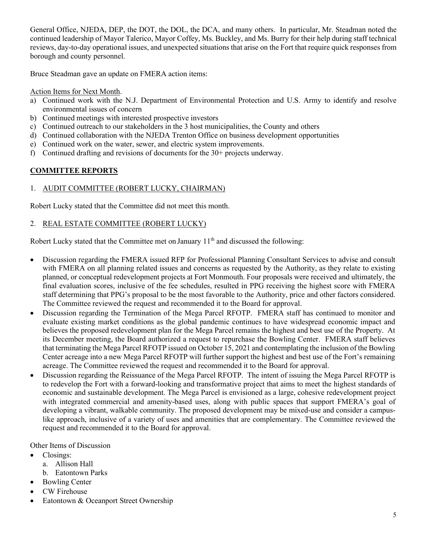General Office, NJEDA, DEP, the DOT, the DOL, the DCA, and many others. In particular, Mr. Steadman noted the continued leadership of Mayor Talerico, Mayor Coffey, Ms. Buckley, and Ms. Burry for their help during staff technical reviews, day-to-day operational issues, and unexpected situations that arise on the Fort that require quick responses from borough and county personnel.

Bruce Steadman gave an update on FMERA action items:

Action Items for Next Month.

- a) Continued work with the N.J. Department of Environmental Protection and U.S. Army to identify and resolve environmental issues of concern
- b) Continued meetings with interested prospective investors
- c) Continued outreach to our stakeholders in the 3 host municipalities, the County and others
- d) Continued collaboration with the NJEDA Trenton Office on business development opportunities
- e) Continued work on the water, sewer, and electric system improvements.
- f) Continued drafting and revisions of documents for the 30+ projects underway.

# **COMMITTEE REPORTS**

# 1. AUDIT COMMITTEE (ROBERT LUCKY, CHAIRMAN)

Robert Lucky stated that the Committee did not meet this month.

## 2. REAL ESTATE COMMITTEE (ROBERT LUCKY)

Robert Lucky stated that the Committee met on January  $11<sup>th</sup>$  and discussed the following:

- Discussion regarding the FMERA issued RFP for Professional Planning Consultant Services to advise and consult with FMERA on all planning related issues and concerns as requested by the Authority, as they relate to existing planned, or conceptual redevelopment projects at Fort Monmouth. Four proposals were received and ultimately, the final evaluation scores, inclusive of the fee schedules, resulted in PPG receiving the highest score with FMERA staff determining that PPG's proposal to be the most favorable to the Authority, price and other factors considered. The Committee reviewed the request and recommended it to the Board for approval.
- Discussion regarding the Termination of the Mega Parcel RFOTP. FMERA staff has continued to monitor and evaluate existing market conditions as the global pandemic continues to have widespread economic impact and believes the proposed redevelopment plan for the Mega Parcel remains the highest and best use of the Property. At its December meeting, the Board authorized a request to repurchase the Bowling Center. FMERA staff believes that terminating the Mega Parcel RFOTP issued on October 15, 2021 and contemplating the inclusion of the Bowling Center acreage into a new Mega Parcel RFOTP will further support the highest and best use of the Fort's remaining acreage. The Committee reviewed the request and recommended it to the Board for approval.
- Discussion regarding the Reissuance of the Mega Parcel RFOTP. The intent of issuing the Mega Parcel RFOTP is to redevelop the Fort with a forward-looking and transformative project that aims to meet the highest standards of economic and sustainable development. The Mega Parcel is envisioned as a large, cohesive redevelopment project with integrated commercial and amenity-based uses, along with public spaces that support FMERA's goal of developing a vibrant, walkable community. The proposed development may be mixed-use and consider a campuslike approach, inclusive of a variety of uses and amenities that are complementary. The Committee reviewed the request and recommended it to the Board for approval.

Other Items of Discussion

- Closings:
	- a. Allison Hall
	- b. Eatontown Parks
- Bowling Center
- CW Firehouse
- Eatontown & Oceanport Street Ownership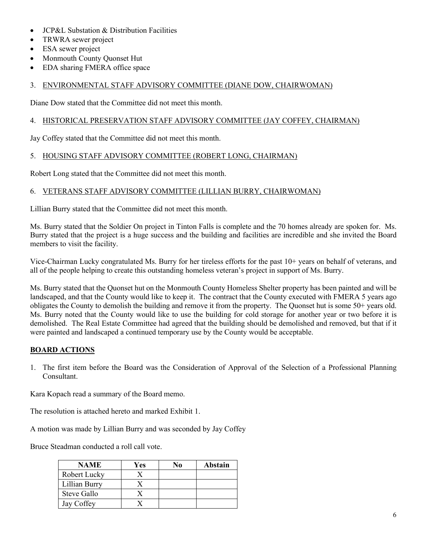- JCP&L Substation & Distribution Facilities
- TRWRA sewer project
- ESA sewer project
- Monmouth County Quonset Hut
- EDA sharing FMERA office space

## 3. ENVIRONMENTAL STAFF ADVISORY COMMITTEE (DIANE DOW, CHAIRWOMAN)

Diane Dow stated that the Committee did not meet this month.

# 4. HISTORICAL PRESERVATION STAFF ADVISORY COMMITTEE (JAY COFFEY, CHAIRMAN)

Jay Coffey stated that the Committee did not meet this month.

# 5. HOUSING STAFF ADVISORY COMMITTEE (ROBERT LONG, CHAIRMAN)

Robert Long stated that the Committee did not meet this month.

# 6. VETERANS STAFF ADVISORY COMMITTEE (LILLIAN BURRY, CHAIRWOMAN)

Lillian Burry stated that the Committee did not meet this month.

Ms. Burry stated that the Soldier On project in Tinton Falls is complete and the 70 homes already are spoken for. Ms. Burry stated that the project is a huge success and the building and facilities are incredible and she invited the Board members to visit the facility.

Vice-Chairman Lucky congratulated Ms. Burry for her tireless efforts for the past 10+ years on behalf of veterans, and all of the people helping to create this outstanding homeless veteran's project in support of Ms. Burry.

Ms. Burry stated that the Quonset hut on the Monmouth County Homeless Shelter property has been painted and will be landscaped, and that the County would like to keep it. The contract that the County executed with FMERA 5 years ago obligates the County to demolish the building and remove it from the property. The Quonset hut is some 50+ years old. Ms. Burry noted that the County would like to use the building for cold storage for another year or two before it is demolished. The Real Estate Committee had agreed that the building should be demolished and removed, but that if it were painted and landscaped a continued temporary use by the County would be acceptable.

## **BOARD ACTIONS**

1. The first item before the Board was the Consideration of Approval of the Selection of a Professional Planning Consultant.

Kara Kopach read a summary of the Board memo.

The resolution is attached hereto and marked Exhibit 1.

A motion was made by Lillian Burry and was seconded by Jay Coffey

Bruce Steadman conducted a roll call vote.

| <b>NAME</b>   | Yes | No | Abstain |
|---------------|-----|----|---------|
| Robert Lucky  |     |    |         |
| Lillian Burry |     |    |         |
| Steve Gallo   |     |    |         |
| Jay Coffey    |     |    |         |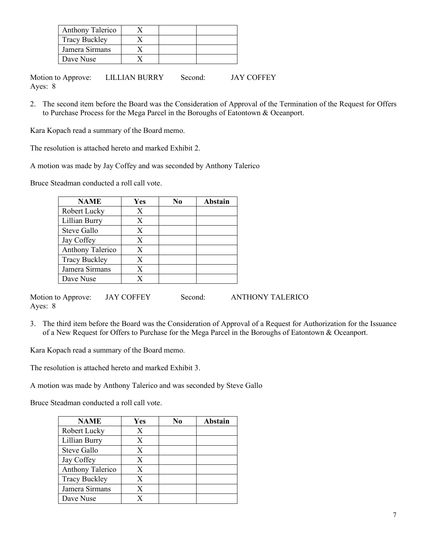| Anthony Talerico     |  |  |
|----------------------|--|--|
| <b>Tracy Buckley</b> |  |  |
| Jamera Sirmans       |  |  |
| Dave Nuse            |  |  |

Motion to Approve: LILLIAN BURRY Second: JAY COFFEY Ayes: 8

2. The second item before the Board was the Consideration of Approval of the Termination of the Request for Offers to Purchase Process for the Mega Parcel in the Boroughs of Eatontown & Oceanport.

Kara Kopach read a summary of the Board memo.

The resolution is attached hereto and marked Exhibit 2.

A motion was made by Jay Coffey and was seconded by Anthony Talerico

Bruce Steadman conducted a roll call vote.

| <b>NAME</b>          | Yes | No | Abstain |
|----------------------|-----|----|---------|
| Robert Lucky         | X   |    |         |
| Lillian Burry        | X   |    |         |
| Steve Gallo          | X   |    |         |
| Jay Coffey           | X   |    |         |
| Anthony Talerico     | X   |    |         |
| <b>Tracy Buckley</b> | X   |    |         |
| Jamera Sirmans       | X   |    |         |
| Dave Nuse            | X   |    |         |

Motion to Approve: JAY COFFEY Second: ANTHONY TALERICO Ayes: 8

3. The third item before the Board was the Consideration of Approval of a Request for Authorization for the Issuance of a New Request for Offers to Purchase for the Mega Parcel in the Boroughs of Eatontown & Oceanport.

Kara Kopach read a summary of the Board memo.

The resolution is attached hereto and marked Exhibit 3.

A motion was made by Anthony Talerico and was seconded by Steve Gallo

Bruce Steadman conducted a roll call vote.

| <b>NAME</b>          | Yes | No | <b>Abstain</b> |
|----------------------|-----|----|----------------|
| Robert Lucky         | X   |    |                |
| Lillian Burry        | X   |    |                |
| Steve Gallo          | X   |    |                |
| Jay Coffey           | X   |    |                |
| Anthony Talerico     | X   |    |                |
| <b>Tracy Buckley</b> | X   |    |                |
| Jamera Sirmans       | X   |    |                |
| Dave Nuse            | X   |    |                |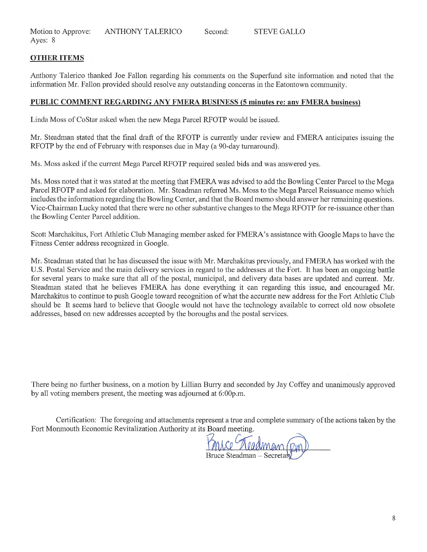Motion to Approve: Ayes: 8 ANTHONY TALERICO Second: STEVE GALLO

## OTHER ITEMS

Anthony Talerico thanked Joe Fallon regarding his comments on the Superfund site information and noted that the information Mr. Fallon provided should resolve any outstanding concerns in the Eatontown community.

### PUBLIC COMMENT REGARDING ANY FMERA BUSmESS (5 minutes re: any FMERA business)

Linda Moss of CoStar asked when the new Mega Parcel RFOTP would be issued.

Mr. Steadman stated that the final draft of the RFOTP is currently under review and FMERA anticipates issuing the RFOTP by the end of February with responses due in May (a 90-day turnaround).

Ms. Moss asked if the current Mega Parcel RFOTP required sealed bids and was answered yes.

Ms. Moss noted that it was stated at the meeting that FMERA was advised to add the Bowling Center Parcel to the Mega Parcel RFOTP and asked for elaboration. Mr. Steadman referred Ms. Moss to the Mega Parcel Reissuance memo which includes the information regarding the Bowling Center, and that the Board memo should answer her remaining questions. Vice-Chairman Lucky noted that there were no other substantive changes to the Mega RFOTP for re-issuance other than the Bowling Center Parcel addition.

Scott Marchakitus, Fort Athletic Club Managing member asked for FMERA's assistance with Google Maps to have the Fitness Center address recognized in Google.

Mr. Steadman stated that he has discussed the issue with Mr. Marchakitus previously, and FMERA has worked with the U.S. Postal Service and the main delivery services in regard to the addresses at the Fort. It has been an ongoing battle for several years to make sure that all of the postal, municipal, and delivery data bases are updated and current. Mr. Steadman stated that he believes FMERA has done everything it can regarding this issue, and encouraged Mr. Marchakitus to continue to push Google toward recognition of what the accurate new address for the Fort Athletic Club should be It seems hard to believe that Google would not have the technology available to correct old now obsolete addresses, based on new addresses accepted by the boroughs and the postal services.

There being no further business, on a motion by Lillian Burry and seconded by Jay Coffey and unanimously approved by all voting members present, the meeting was adjourned at 6:00p.m.

Certification: The foregoing and attachments represent a true and complete summary of the actions taken by the Fort Monmouth Economic Revitalization Authority at its Board meeting.

Bruce Steadman - Secretar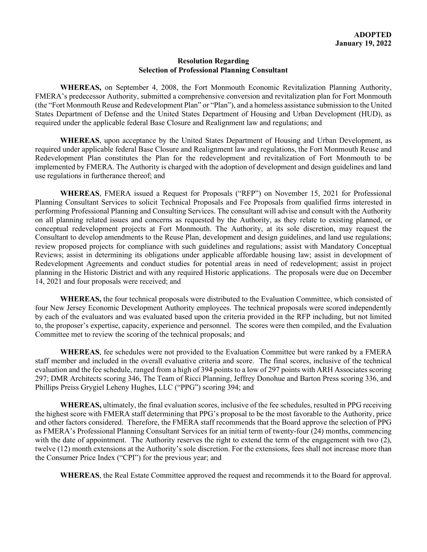#### **Resolution Regarding Selection of Professional Planning Consultant**

**WHEREAS,** on September 4, 2008, the Fort Monmouth Economic Revitalization Planning Authority, FMERA's predecessor Authority, submitted a comprehensive conversion and revitalization plan for Fort Monmouth (the "Fort Monmouth Reuse and Redevelopment Plan" or "Plan"), and a homeless assistance submission to the United States Department of Defense and the United States Department of Housing and Urban Development (HUD), as required under the applicable federal Base Closure and Realignment law and regulations; and

**WHEREAS**, upon acceptance by the United States Department of Housing and Urban Development, as required under applicable federal Base Closure and Realignment law and regulations, the Fort Monmouth Reuse and Redevelopment Plan constitutes the Plan for the redevelopment and revitalization of Fort Monmouth to be implemented by FMERA. The Authority is charged with the adoption of development and design guidelines and land use regulations in furtherance thereof; and

**WHEREAS**, FMERA issued a Request for Proposals ("RFP") on November 15, 2021 for Professional Planning Consultant Services to solicit Technical Proposals and Fee Proposals from qualified firms interested in performing Professional Planning and Consulting Services. The consultant will advise and consult with the Authority on all planning related issues and concerns as requested by the Authority, as they relate to existing planned, or conceptual redevelopment projects at Fort Monmouth. The Authority, at its sole discretion, may request the Consultant to develop amendments to the Reuse Plan, development and design guidelines, and land use regulations; review proposed projects for compliance with such guidelines and regulations; assist with Mandatory Conceptual Reviews; assist in determining its obligations under applicable affordable housing law; assist in development of Redevelopment Agreements and conduct studies for potential areas in need of redevelopment; assist in project planning in the Historic District and with any required Historic applications. The proposals were due on December 14, 2021 and four proposals were received; and

**WHEREAS,** the four technical proposals were distributed to the Evaluation Committee, which consisted of four New Jersey Economic Development Authority employees. The technical proposals were scored independently by each of the evaluators and was evaluated based upon the criteria provided in the RFP including, but not limited to, the proposer's expertise, capacity, experience and personnel. The scores were then compiled, and the Evaluation Committee met to review the scoring of the technical proposals; and

**WHEREAS**, fee schedules were not provided to the Evaluation Committee but were ranked by a FMERA staff member and included in the overall evaluative criteria and score. The final scores, inclusive of the technical evaluation and the fee schedule, ranged from a high of 394 points to a low of 297 points with ARH Associates scoring 297; DMR Architects scoring 346, The Team of Ricci Planning, Jeffrey Donohue and Barton Press scoring 336, and Phillips Preiss Grygiel Leheny Hughes, LLC ("PPG") scoring 394; and

**WHEREAS,** ultimately, the final evaluation scores, inclusive of the fee schedules, resulted in PPG receiving the highest score with FMERA staff determining that PPG's proposal to be the most favorable to the Authority, price and other factors considered. Therefore, the FMERA staff recommends that the Board approve the selection of PPG as FMERA's Professional Planning Consultant Services for an initial term of twenty-four (24) months, commencing with the date of appointment. The Authority reserves the right to extend the term of the engagement with two  $(2)$ , twelve (12) month extensions at the Authority's sole discretion. For the extensions, fees shall not increase more than the Consumer Price Index ("CPI") for the previous year; and

**WHEREAS**, the Real Estate Committee approved the request and recommends it to the Board for approval.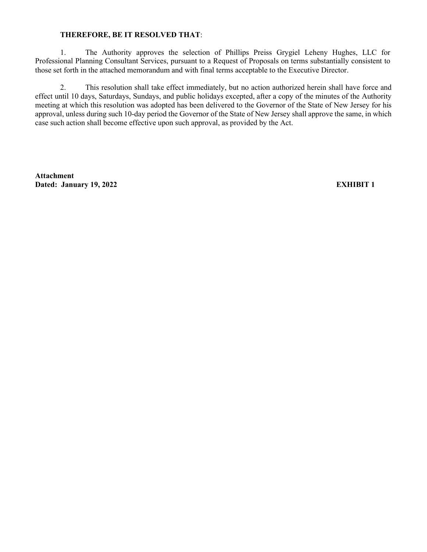### **THEREFORE, BE IT RESOLVED THAT**:

1. The Authority approves the selection of Phillips Preiss Grygiel Leheny Hughes, LLC for Professional Planning Consultant Services, pursuant to a Request of Proposals on terms substantially consistent to those set forth in the attached memorandum and with final terms acceptable to the Executive Director.

2. This resolution shall take effect immediately, but no action authorized herein shall have force and effect until 10 days, Saturdays, Sundays, and public holidays excepted, after a copy of the minutes of the Authority meeting at which this resolution was adopted has been delivered to the Governor of the State of New Jersey for his approval, unless during such 10-day period the Governor of the State of New Jersey shall approve the same, in which case such action shall become effective upon such approval, as provided by the Act.

**Attachment Dated: January 19, 2022 EXHIBIT 1**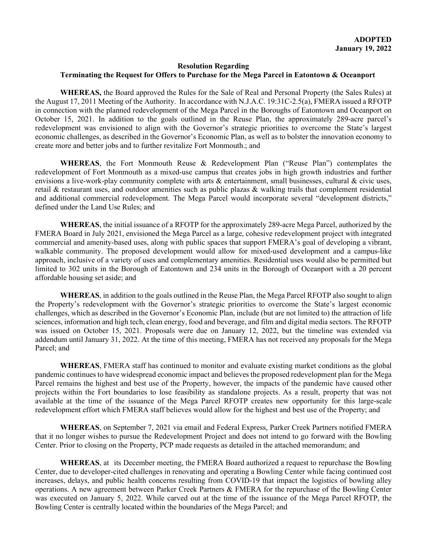### **Resolution Regarding Terminating the Request for Offers to Purchase for the Mega Parcel in Eatontown & Oceanport**

**WHEREAS,** the Board approved the Rules for the Sale of Real and Personal Property (the Sales Rules) at the August 17, 2011 Meeting of the Authority. In accordance with N.J.A.C. 19:31C-2.5(a), FMERA issued a RFOTP in connection with the planned redevelopment of the Mega Parcel in the Boroughs of Eatontown and Oceanport on October 15, 2021. In addition to the goals outlined in the Reuse Plan, the approximately 289-acre parcel's redevelopment was envisioned to align with the Governor's strategic priorities to overcome the State's largest economic challenges, as described in the Governor's Economic Plan, as well as to bolster the innovation economy to create more and better jobs and to further revitalize Fort Monmouth.; and

**WHEREAS**, the Fort Monmouth Reuse & Redevelopment Plan ("Reuse Plan") contemplates the redevelopment of Fort Monmouth as a mixed-use campus that creates jobs in high growth industries and further envisions a live-work-play community complete with arts & entertainment, small businesses, cultural & civic uses, retail & restaurant uses, and outdoor amenities such as public plazas & walking trails that complement residential and additional commercial redevelopment. The Mega Parcel would incorporate several "development districts," defined under the Land Use Rules; and

**WHEREAS**, the initial issuance of a RFOTP for the approximately 289-acre Mega Parcel, authorized by the FMERA Board in July 2021, envisioned the Mega Parcel as a large, cohesive redevelopment project with integrated commercial and amenity-based uses, along with public spaces that support FMERA's goal of developing a vibrant, walkable community. The proposed development would allow for mixed-used development and a campus-like approach, inclusive of a variety of uses and complementary amenities. Residential uses would also be permitted but limited to 302 units in the Borough of Eatontown and 234 units in the Borough of Oceanport with a 20 percent affordable housing set aside; and

**WHEREAS**, in addition to the goals outlined in the Reuse Plan, the Mega Parcel RFOTP also sought to align the Property's redevelopment with the Governor's strategic priorities to overcome the State's largest economic challenges, which as described in the Governor's Economic Plan, include (but are not limited to) the attraction of life sciences, information and high tech, clean energy, food and beverage, and film and digital media sectors. The RFOTP was issued on October 15, 2021. Proposals were due on January 12, 2022, but the timeline was extended via addendum until January 31, 2022. At the time of this meeting, FMERA has not received any proposals for the Mega Parcel; and

**WHEREAS**, FMERA staff has continued to monitor and evaluate existing market conditions as the global pandemic continues to have widespread economic impact and believes the proposed redevelopment plan for the Mega Parcel remains the highest and best use of the Property, however, the impacts of the pandemic have caused other projects within the Fort boundaries to lose feasibility as standalone projects. As a result, property that was not available at the time of the issuance of the Mega Parcel RFOTP creates new opportunity for this large-scale redevelopment effort which FMERA staff believes would allow for the highest and best use of the Property; and

**WHEREAS**, on September 7, 2021 via email and Federal Express, Parker Creek Partners notified FMERA that it no longer wishes to pursue the Redevelopment Project and does not intend to go forward with the Bowling Center. Prior to closing on the Property, PCP made requests as detailed in the attached memorandum; and

**WHEREAS**, at its December meeting, the FMERA Board authorized a request to repurchase the Bowling Center, due to developer-cited challenges in renovating and operating a Bowling Center while facing continued cost increases, delays, and public health concerns resulting from COVID-19 that impact the logistics of bowling alley operations. A new agreement between Parker Creek Partners & FMERA for the repurchase of the Bowling Center was executed on January 5, 2022. While carved out at the time of the issuance of the Mega Parcel RFOTP, the Bowling Center is centrally located within the boundaries of the Mega Parcel; and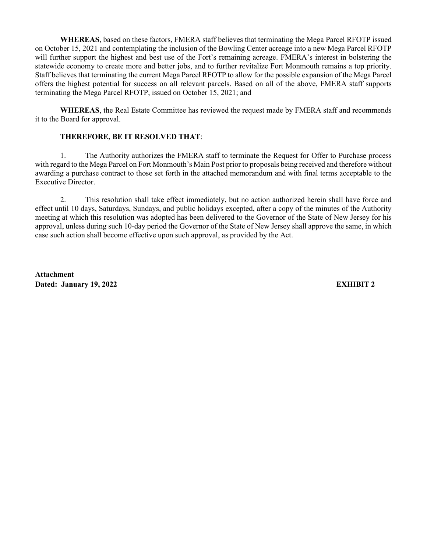**WHEREAS**, based on these factors, FMERA staff believes that terminating the Mega Parcel RFOTP issued on October 15, 2021 and contemplating the inclusion of the Bowling Center acreage into a new Mega Parcel RFOTP will further support the highest and best use of the Fort's remaining acreage. FMERA's interest in bolstering the statewide economy to create more and better jobs, and to further revitalize Fort Monmouth remains a top priority. Staff believes that terminating the current Mega Parcel RFOTP to allow for the possible expansion of the Mega Parcel offers the highest potential for success on all relevant parcels. Based on all of the above, FMERA staff supports terminating the Mega Parcel RFOTP, issued on October 15, 2021; and

**WHEREAS**, the Real Estate Committee has reviewed the request made by FMERA staff and recommends it to the Board for approval.

### **THEREFORE, BE IT RESOLVED THAT**:

1. The Authority authorizes the FMERA staff to terminate the Request for Offer to Purchase process with regard to the Mega Parcel on Fort Monmouth's Main Post prior to proposals being received and therefore without awarding a purchase contract to those set forth in the attached memorandum and with final terms acceptable to the Executive Director.

2. This resolution shall take effect immediately, but no action authorized herein shall have force and effect until 10 days, Saturdays, Sundays, and public holidays excepted, after a copy of the minutes of the Authority meeting at which this resolution was adopted has been delivered to the Governor of the State of New Jersey for his approval, unless during such 10-day period the Governor of the State of New Jersey shall approve the same, in which case such action shall become effective upon such approval, as provided by the Act.

**Attachment Dated: January 19, 2022 EXHIBIT 2**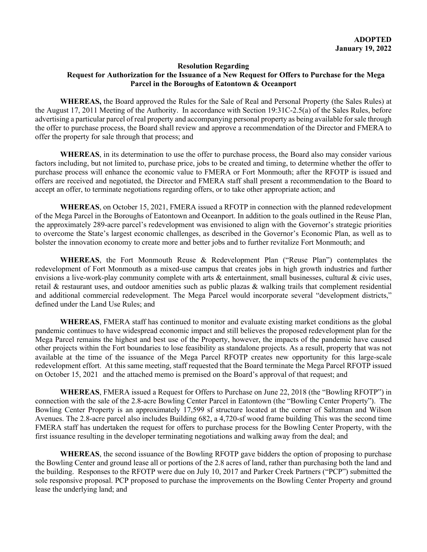#### **Resolution Regarding**

### **Request for Authorization for the Issuance of a New Request for Offers to Purchase for the Mega Parcel in the Boroughs of Eatontown & Oceanport**

**WHEREAS,** the Board approved the Rules for the Sale of Real and Personal Property (the Sales Rules) at the August 17, 2011 Meeting of the Authority. In accordance with Section 19:31C-2.5(a) of the Sales Rules, before advertising a particular parcel of real property and accompanying personal property as being available for sale through the offer to purchase process, the Board shall review and approve a recommendation of the Director and FMERA to offer the property for sale through that process; and

**WHEREAS**, in its determination to use the offer to purchase process, the Board also may consider various factors including, but not limited to, purchase price, jobs to be created and timing, to determine whether the offer to purchase process will enhance the economic value to FMERA or Fort Monmouth; after the RFOTP is issued and offers are received and negotiated, the Director and FMERA staff shall present a recommendation to the Board to accept an offer, to terminate negotiations regarding offers, or to take other appropriate action; and

**WHEREAS**, on October 15, 2021, FMERA issued a RFOTP in connection with the planned redevelopment of the Mega Parcel in the Boroughs of Eatontown and Oceanport. In addition to the goals outlined in the Reuse Plan, the approximately 289-acre parcel's redevelopment was envisioned to align with the Governor's strategic priorities to overcome the State's largest economic challenges, as described in the Governor's Economic Plan, as well as to bolster the innovation economy to create more and better jobs and to further revitalize Fort Monmouth; and

**WHEREAS**, the Fort Monmouth Reuse & Redevelopment Plan ("Reuse Plan") contemplates the redevelopment of Fort Monmouth as a mixed-use campus that creates jobs in high growth industries and further envisions a live-work-play community complete with arts & entertainment, small businesses, cultural & civic uses, retail & restaurant uses, and outdoor amenities such as public plazas & walking trails that complement residential and additional commercial redevelopment. The Mega Parcel would incorporate several "development districts," defined under the Land Use Rules; and

**WHEREAS**, FMERA staff has continued to monitor and evaluate existing market conditions as the global pandemic continues to have widespread economic impact and still believes the proposed redevelopment plan for the Mega Parcel remains the highest and best use of the Property, however, the impacts of the pandemic have caused other projects within the Fort boundaries to lose feasibility as standalone projects. As a result, property that was not available at the time of the issuance of the Mega Parcel RFOTP creates new opportunity for this large-scale redevelopment effort. At this same meeting, staff requested that the Board terminate the Mega Parcel RFOTP issued on October 15, 2021 and the attached memo is premised on the Board's approval of that request; and

**WHEREAS**, FMERA issued a Request for Offers to Purchase on June 22, 2018 (the "Bowling RFOTP") in connection with the sale of the 2.8-acre Bowling Center Parcel in Eatontown (the "Bowling Center Property"). The Bowling Center Property is an approximately 17,599 sf structure located at the corner of Saltzman and Wilson Avenues. The 2.8-acre parcel also includes Building 682, a 4,720-sf wood frame building This was the second time FMERA staff has undertaken the request for offers to purchase process for the Bowling Center Property, with the first issuance resulting in the developer terminating negotiations and walking away from the deal; and

**WHEREAS**, the second issuance of the Bowling RFOTP gave bidders the option of proposing to purchase the Bowling Center and ground lease all or portions of the 2.8 acres of land, rather than purchasing both the land and the building. Responses to the RFOTP were due on July 10, 2017 and Parker Creek Partners ("PCP") submitted the sole responsive proposal. PCP proposed to purchase the improvements on the Bowling Center Property and ground lease the underlying land; and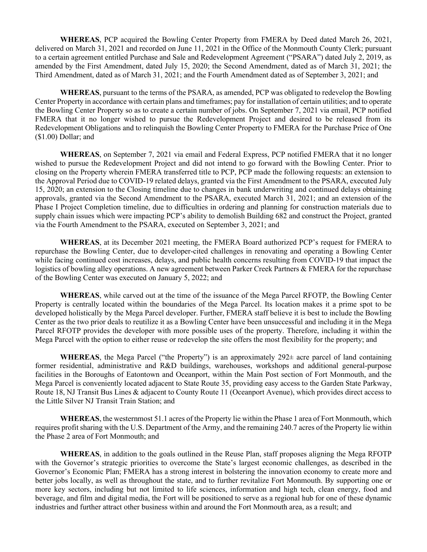**WHEREAS**, PCP acquired the Bowling Center Property from FMERA by Deed dated March 26, 2021, delivered on March 31, 2021 and recorded on June 11, 2021 in the Office of the Monmouth County Clerk; pursuant to a certain agreement entitled Purchase and Sale and Redevelopment Agreement ("PSARA") dated July 2, 2019, as amended by the First Amendment, dated July 15, 2020; the Second Amendment, dated as of March 31, 2021; the Third Amendment, dated as of March 31, 2021; and the Fourth Amendment dated as of September 3, 2021; and

**WHEREAS**, pursuant to the terms of the PSARA, as amended, PCP was obligated to redevelop the Bowling Center Property in accordance with certain plans and timeframes; pay for installation of certain utilities; and to operate the Bowling Center Property so as to create a certain number of jobs. On September 7, 2021 via email, PCP notified FMERA that it no longer wished to pursue the Redevelopment Project and desired to be released from its Redevelopment Obligations and to relinquish the Bowling Center Property to FMERA for the Purchase Price of One (\$1.00) Dollar; and

**WHEREAS**, on September 7, 2021 via email and Federal Express, PCP notified FMERA that it no longer wished to pursue the Redevelopment Project and did not intend to go forward with the Bowling Center. Prior to closing on the Property wherein FMERA transferred title to PCP, PCP made the following requests: an extension to the Approval Period due to COVID-19 related delays, granted via the First Amendment to the PSARA, executed July 15, 2020; an extension to the Closing timeline due to changes in bank underwriting and continued delays obtaining approvals, granted via the Second Amendment to the PSARA, executed March 31, 2021; and an extension of the Phase I Project Completion timeline, due to difficulties in ordering and planning for construction materials due to supply chain issues which were impacting PCP's ability to demolish Building 682 and construct the Project, granted via the Fourth Amendment to the PSARA, executed on September 3, 2021; and

**WHEREAS**, at its December 2021 meeting, the FMERA Board authorized PCP's request for FMERA to repurchase the Bowling Center, due to developer-cited challenges in renovating and operating a Bowling Center while facing continued cost increases, delays, and public health concerns resulting from COVID-19 that impact the logistics of bowling alley operations. A new agreement between Parker Creek Partners & FMERA for the repurchase of the Bowling Center was executed on January 5, 2022; and

**WHEREAS**, while carved out at the time of the issuance of the Mega Parcel RFOTP, the Bowling Center Property is centrally located within the boundaries of the Mega Parcel. Its location makes it a prime spot to be developed holistically by the Mega Parcel developer. Further, FMERA staff believe it is best to include the Bowling Center as the two prior deals to reutilize it as a Bowling Center have been unsuccessful and including it in the Mega Parcel RFOTP provides the developer with more possible uses of the property. Therefore, including it within the Mega Parcel with the option to either reuse or redevelop the site offers the most flexibility for the property; and

**WHEREAS**, the Mega Parcel ("the Property") is an approximately 292± acre parcel of land containing former residential, administrative and R&D buildings, warehouses, workshops and additional general-purpose facilities in the Boroughs of Eatontown and Oceanport, within the Main Post section of Fort Monmouth, and the Mega Parcel is conveniently located adjacent to State Route 35, providing easy access to the Garden State Parkway, Route 18, NJ Transit Bus Lines & adjacent to County Route 11 (Oceanport Avenue), which provides direct access to the Little Silver NJ Transit Train Station; and

**WHEREAS**, the westernmost 51.1 acres of the Property lie within the Phase 1 area of Fort Monmouth, which requires profit sharing with the U.S. Department of the Army, and the remaining 240.7 acres of the Property lie within the Phase 2 area of Fort Monmouth; and

**WHEREAS**, in addition to the goals outlined in the Reuse Plan, staff proposes aligning the Mega RFOTP with the Governor's strategic priorities to overcome the State's largest economic challenges, as described in the Governor's Economic Plan; FMERA has a strong interest in bolstering the innovation economy to create more and better jobs locally, as well as throughout the state, and to further revitalize Fort Monmouth. By supporting one or more key sectors, including but not limited to life sciences, information and high tech, clean energy, food and beverage, and film and digital media, the Fort will be positioned to serve as a regional hub for one of these dynamic industries and further attract other business within and around the Fort Monmouth area, as a result; and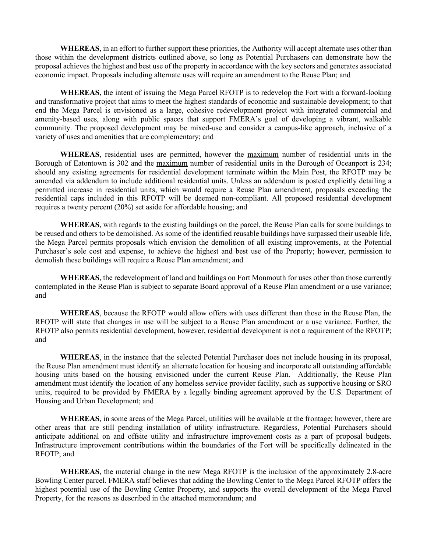**WHEREAS**, in an effort to further support these priorities, the Authority will accept alternate uses other than those within the development districts outlined above, so long as Potential Purchasers can demonstrate how the proposal achieves the highest and best use of the property in accordance with the key sectors and generates associated economic impact. Proposals including alternate uses will require an amendment to the Reuse Plan; and

**WHEREAS**, the intent of issuing the Mega Parcel RFOTP is to redevelop the Fort with a forward-looking and transformative project that aims to meet the highest standards of economic and sustainable development; to that end the Mega Parcel is envisioned as a large, cohesive redevelopment project with integrated commercial and amenity-based uses, along with public spaces that support FMERA's goal of developing a vibrant, walkable community. The proposed development may be mixed-use and consider a campus-like approach, inclusive of a variety of uses and amenities that are complementary; and

**WHEREAS**, residential uses are permitted, however the maximum number of residential units in the Borough of Eatontown is 302 and the maximum number of residential units in the Borough of Oceanport is 234; should any existing agreements for residential development terminate within the Main Post, the RFOTP may be amended via addendum to include additional residential units. Unless an addendum is posted explicitly detailing a permitted increase in residential units, which would require a Reuse Plan amendment, proposals exceeding the residential caps included in this RFOTP will be deemed non-compliant. All proposed residential development requires a twenty percent (20%) set aside for affordable housing; and

**WHEREAS**, with regards to the existing buildings on the parcel, the Reuse Plan calls for some buildings to be reused and others to be demolished. As some of the identified reusable buildings have surpassed their useable life, the Mega Parcel permits proposals which envision the demolition of all existing improvements, at the Potential Purchaser's sole cost and expense, to achieve the highest and best use of the Property; however, permission to demolish these buildings will require a Reuse Plan amendment; and

**WHEREAS**, the redevelopment of land and buildings on Fort Monmouth for uses other than those currently contemplated in the Reuse Plan is subject to separate Board approval of a Reuse Plan amendment or a use variance; and

**WHEREAS**, because the RFOTP would allow offers with uses different than those in the Reuse Plan, the RFOTP will state that changes in use will be subject to a Reuse Plan amendment or a use variance. Further, the RFOTP also permits residential development, however, residential development is not a requirement of the RFOTP; and

**WHEREAS**, in the instance that the selected Potential Purchaser does not include housing in its proposal, the Reuse Plan amendment must identify an alternate location for housing and incorporate all outstanding affordable housing units based on the housing envisioned under the current Reuse Plan. Additionally, the Reuse Plan amendment must identify the location of any homeless service provider facility, such as supportive housing or SRO units, required to be provided by FMERA by a legally binding agreement approved by the U.S. Department of Housing and Urban Development; and

**WHEREAS**, in some areas of the Mega Parcel, utilities will be available at the frontage; however, there are other areas that are still pending installation of utility infrastructure. Regardless, Potential Purchasers should anticipate additional on and offsite utility and infrastructure improvement costs as a part of proposal budgets. Infrastructure improvement contributions within the boundaries of the Fort will be specifically delineated in the RFOTP; and

**WHEREAS**, the material change in the new Mega RFOTP is the inclusion of the approximately 2.8-acre Bowling Center parcel. FMERA staff believes that adding the Bowling Center to the Mega Parcel RFOTP offers the highest potential use of the Bowling Center Property, and supports the overall development of the Mega Parcel Property, for the reasons as described in the attached memorandum; and